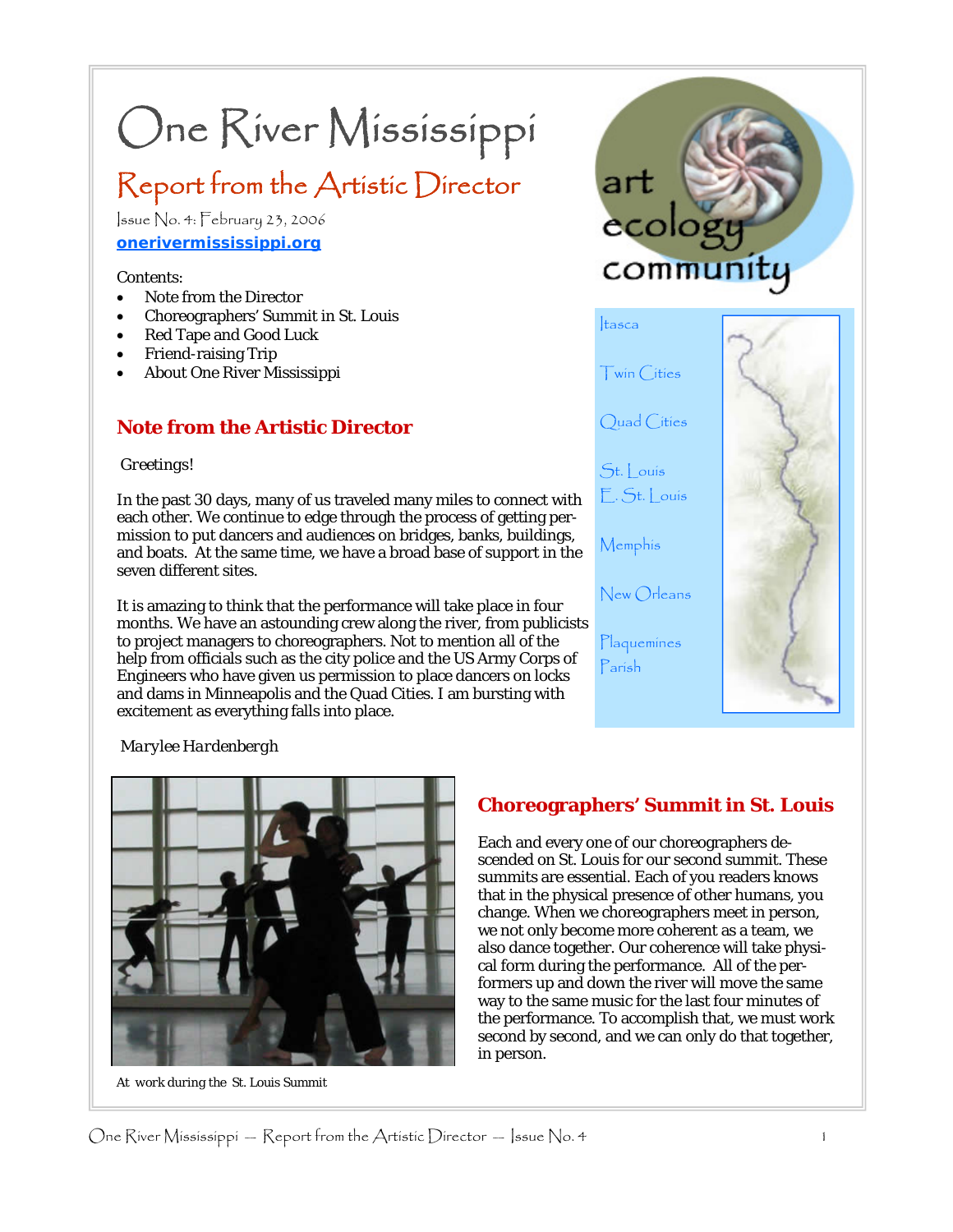# One River Mississippi

# Report from the Artistic Director

Issue No. 4: February 23, 2006 **onerivermississippi.org**

#### Contents:

- Note from the Director
- Choreographers' Summit in St. Louis
- Red Tape and Good Luck
- Friend-raising Trip
- About One River Mississippi

### **Note from the Artistic Director**

#### *Greetings!*

In the past 30 days, many of us traveled many miles to connect with each other. We continue to edge through the process of getting permission to put dancers and audiences on bridges, banks, buildings, and boats. At the same time, we have a broad base of support in the seven different sites.

It is amazing to think that the performance will take place in four months. We have an astounding crew along the river, from publicists to project managers to choreographers. Not to mention all of the help from officials such as the city police and the US Army Corps of Engineers who have given us permission to place dancers on locks and dams in Minneapolis and the Quad Cities. I am bursting with excitement as everything falls into place.



#### *Marylee Hardenbergh*



*At work during the St. Louis Summit* 

# **Choreographers' Summit in St. Louis**

Each and every one of our choreographers descended on St. Louis for our second summit. These summits are essential. Each of you readers knows that in the physical presence of other humans, you change. When we choreographers meet in person, we not only become more coherent as a team, we also dance together. Our coherence will take physical form during the performance. All of the performers up and down the river will move the same way to the same music for the last four minutes of the performance. To accomplish that, we must work second by second, and we can only do that together, in person.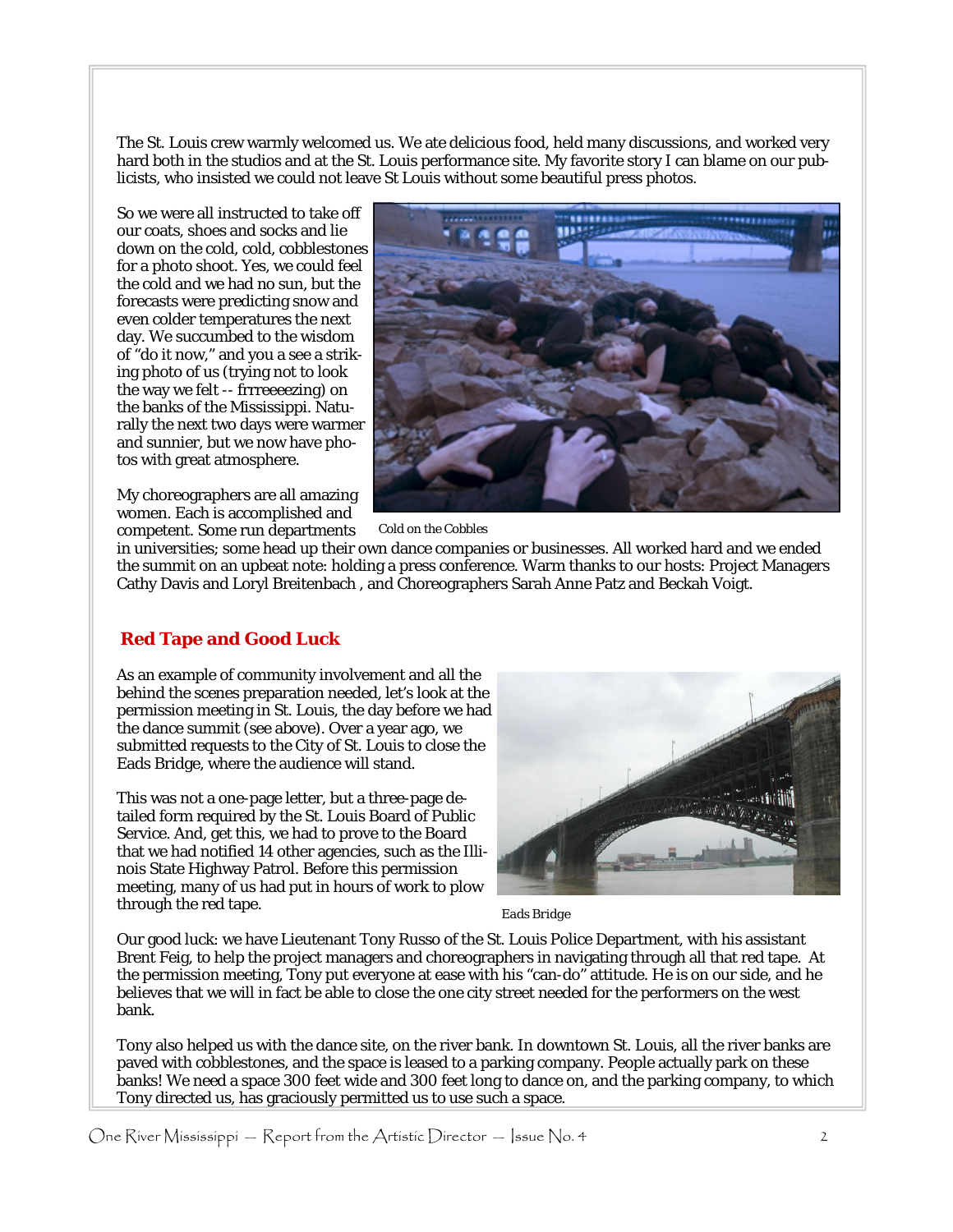The St. Louis crew warmly welcomed us. We ate delicious food, held many discussions, and worked very hard both in the studios and at the St. Louis performance site. My favorite story I can blame on our publicists, who insisted we could not leave St Louis without some beautiful press photos.

So we were all instructed to take off our coats, shoes and socks and lie down on the cold, cold, cobblestones for a photo shoot. Yes, we could feel the cold and we had no sun, but the forecasts were predicting snow and even colder temperatures the next day. We succumbed to the wisdom of "do it now," and you a see a striking photo of us (trying not to look the way we felt -- frrreeeezing) on the banks of the Mississippi. Naturally the next two days were warmer and sunnier, but we now have photos with great atmosphere.

My choreographers are all amazing women. Each is accomplished and competent. Some run departments



 *Cold on the Cobbles* 

in universities; some head up their own dance companies or businesses. All worked hard and we ended the summit on an upbeat note: holding a press conference. Warm thanks to our hosts: Project Managers Cathy Davis and Loryl Breitenbach , and Choreographers Sarah Anne Patz and Beckah Voigt.

#### **Red Tape and Good Luck**

As an example of community involvement and all the behind the scenes preparation needed, let's look at the permission meeting in St. Louis, the day before we had the dance summit (see above). Over a year ago, we submitted requests to the City of St. Louis to close the Eads Bridge, where the audience will stand.

This was not a one-page letter, but a three-page detailed form required by the St. Louis Board of Public Service. And, get this, we had to prove to the Board that we had notified 14 other agencies, such as the Illinois State Highway Patrol. Before this permission meeting, many of us had put in hours of work to plow through the red tape.



*Eads Bridge* 

Our good luck: we have Lieutenant Tony Russo of the St. Louis Police Department, with his assistant Brent Feig, to help the project managers and choreographers in navigating through all that red tape. At the permission meeting, Tony put everyone at ease with his "can-do" attitude. He is on our side, and he believes that we will in fact be able to close the one city street needed for the performers on the west bank.

Tony also helped us with the dance site, on the river bank. In downtown St. Louis, all the river banks are paved with cobblestones, and the space is leased to a parking company. People actually park on these banks! We need a space 300 feet wide and 300 feet long to dance on, and the parking company, to which Tony directed us, has graciously permitted us to use such a space.

One River Mississippi — Report from the Artistic Director — Issue No. 4  $2<sup>2</sup>$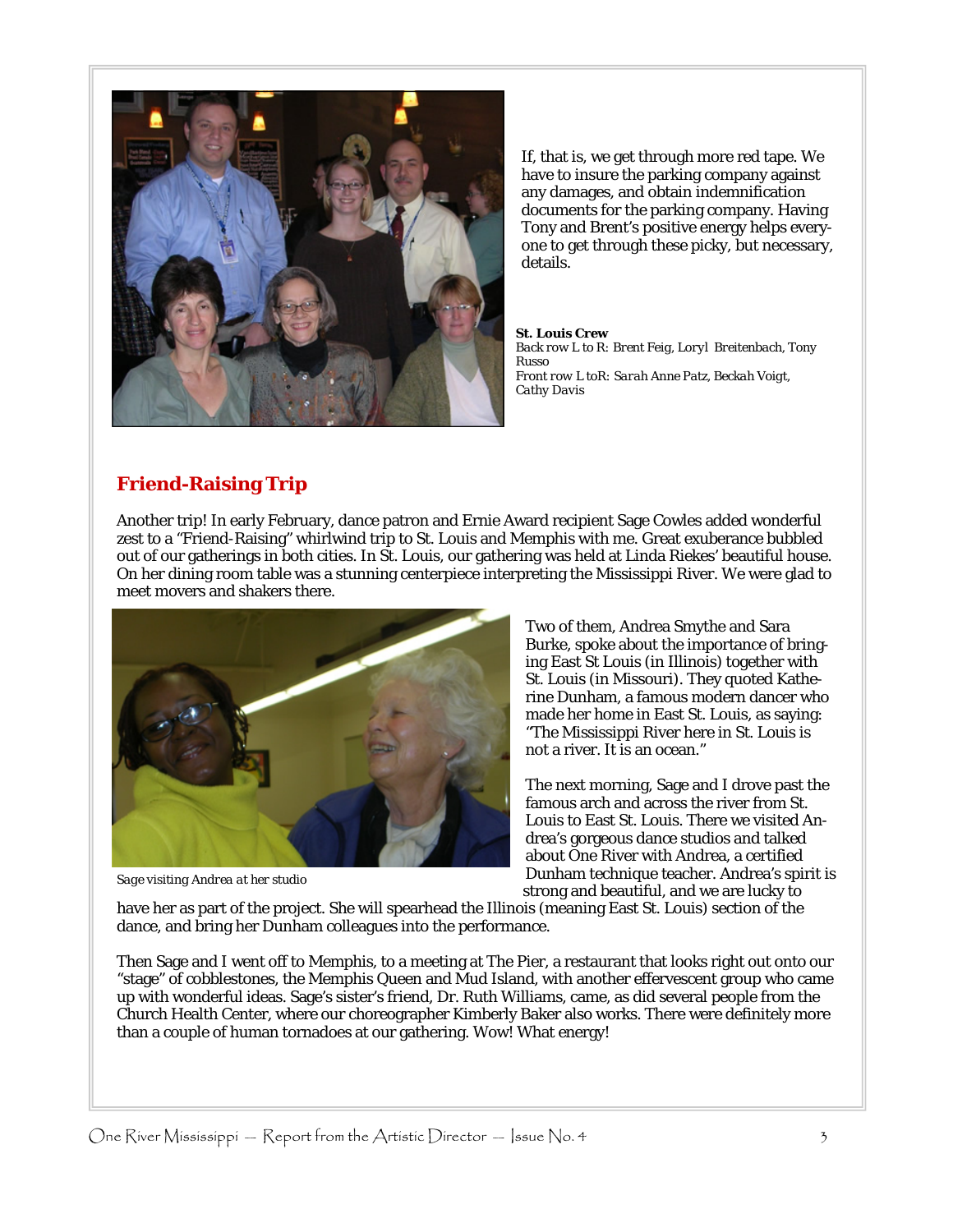

If, that is, we get through more red tape. We have to insure the parking company against any damages, and obtain indemnification documents for the parking company. Having Tony and Brent's positive energy helps everyone to get through these picky, but necessary, details.

*St. Louis Crew Back row L to R: Brent Feig, Loryl Breitenbach, Tony Russo Front row L toR: Sarah Anne Patz, Beckah Voigt, Cathy Davis*

# **Friend-Raising Trip**

Another trip! In early February, dance patron and Ernie Award recipient Sage Cowles added wonderful zest to a "Friend-Raising" whirlwind trip to St. Louis and Memphis with me. Great exuberance bubbled out of our gatherings in both cities. In St. Louis, our gathering was held at Linda Riekes' beautiful house. On her dining room table was a stunning centerpiece interpreting the Mississippi River. We were glad to meet movers and shakers there.



*Sage visiting Andrea at her studio* 

Two of them, Andrea Smythe and Sara Burke, spoke about the importance of bringing East St Louis (in Illinois) together with St. Louis (in Missouri). They quoted Katherine Dunham, a famous modern dancer who made her home in East St. Louis, as saying: "The Mississippi River here in St. Louis is not a river. It is an ocean."

The next morning, Sage and I drove past the famous arch and across the river from St. Louis to East St. Louis. There we visited Andrea's gorgeous dance studios and talked about One River with Andrea, a certified Dunham technique teacher. Andrea's spirit is strong and beautiful, and we are lucky to

have her as part of the project. She will spearhead the Illinois (meaning East St. Louis) section of the dance, and bring her Dunham colleagues into the performance.

Then Sage and I went off to Memphis, to a meeting at The Pier, a restaurant that looks right out onto our "stage" of cobblestones, the Memphis Queen and Mud Island, with another effervescent group who came up with wonderful ideas. Sage's sister's friend, Dr. Ruth Williams, came, as did several people from the Church Health Center, where our choreographer Kimberly Baker also works. There were definitely more than a couple of human tornadoes at our gathering. Wow! What energy!